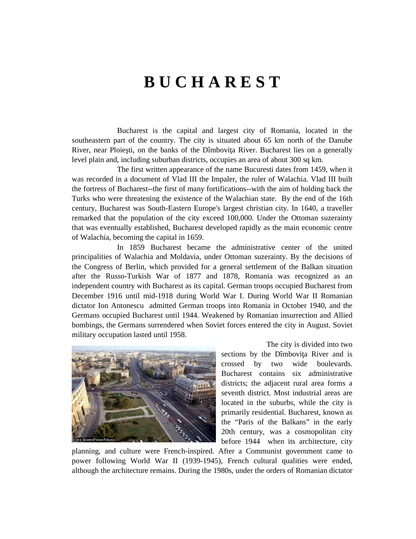## **B U C H A R E S T**

 Bucharest is the capital and largest city of Romania, located in the southeastern part of the country. The city is situated about 65 km north of the Danube River, near Ploiesti, on the banks of the Dîmbovita River. Bucharest lies on a generally level plain and, including suburban districts, occupies an area of about 300 sq km.

 The first written appearance of the name Bucuresti dates from 1459, when it was recorded in a document of Vlad III the Impaler, the ruler of Walachia. Vlad III built the fortress of Bucharest--the first of many fortifications--with the aim of holding back the Turks who were threatening the existence of the Walachian state. By the end of the 16th century, Bucharest was South-Eastern Europe's largest christian city. In 1640, a traveller remarked that the population of the city exceed 100,000. Under the Ottoman suzerainty that was eventually established, Bucharest developed rapidly as the main economic centre of Walachia, becoming the capital in 1659.

 In 1859 Bucharest became the administrative center of the united principalities of Walachia and Moldavia, under Ottoman suzerainty. By the decisions of the Congress of Berlin, which provided for a general settlement of the Balkan situation after the Russo-Turkish War of 1877 and 1878, Romania was recognized as an independent country with Bucharest as its capital. German troops occupied Bucharest from December 1916 until mid-1918 during World War I. During World War II Romanian dictator Ion Antonescu admitted German troops into Romania in October 1940, and the Germans occupied Bucharest until 1944. Weakened by Romanian insurrection and Allied bombings, the Germans surrendered when Soviet forces entered the city in August. Soviet military occupation lasted until 1958.



 The city is divided into two sections by the Dîmbovita River and is crossed by two wide boulevards. Bucharest contains six administrative districts; the adjacent rural area forms a seventh district. Most industrial areas are located in the suburbs, while the city is primarily residential. Bucharest, known as the "Paris of the Balkans" in the early 20th century, was a cosmopolitan city before 1944 when its architecture, city

planning, and culture were French-inspired. After a Communist government came to power following World War II (1939-1945), French cultural qualities were ended, although the architecture remains. During the 1980s, under the orders of Romanian dictator